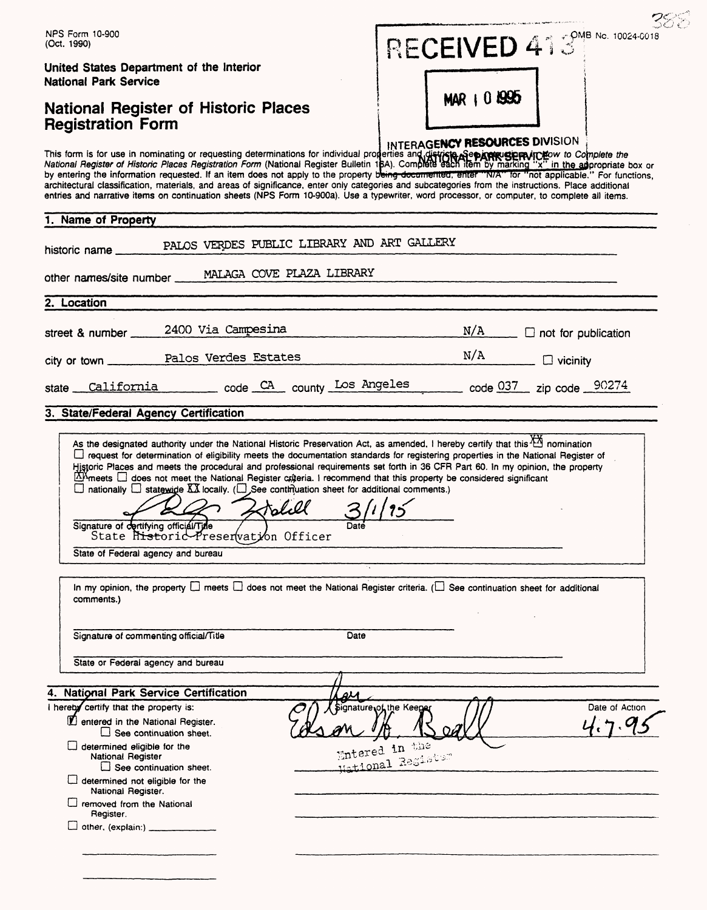| NPS Form 10-900<br>(Oct. 1990)                                                                                                                                                                                                                     |                                                                                                                                                                                                                                                                                                                                                                                                                                                                                                                                                                                                                                                                                                 |               |                                                                | RECEIVED 413 MB No. 10024-0018                 |                                  |                |
|----------------------------------------------------------------------------------------------------------------------------------------------------------------------------------------------------------------------------------------------------|-------------------------------------------------------------------------------------------------------------------------------------------------------------------------------------------------------------------------------------------------------------------------------------------------------------------------------------------------------------------------------------------------------------------------------------------------------------------------------------------------------------------------------------------------------------------------------------------------------------------------------------------------------------------------------------------------|---------------|----------------------------------------------------------------|------------------------------------------------|----------------------------------|----------------|
| United States Department of the Interior<br><b>National Park Service</b><br><b>National Register of Historic Places</b><br><b>Registration Form</b>                                                                                                |                                                                                                                                                                                                                                                                                                                                                                                                                                                                                                                                                                                                                                                                                                 |               |                                                                |                                                |                                  |                |
|                                                                                                                                                                                                                                                    |                                                                                                                                                                                                                                                                                                                                                                                                                                                                                                                                                                                                                                                                                                 |               |                                                                | MAR 1 0 1995<br>INTERAGENCY RESOURCES DIVISION |                                  |                |
|                                                                                                                                                                                                                                                    | This form is for use in nominating or requesting determinations for individual properties and districts applying Separate to Complete the<br>National Register of Historic Places Registration Form (National Register Bulletin 1<br>by entering the information requested. If an item does not apply to the property being documented, enter "N/A" for "not applicable." For functions,<br>architectural classification, materials, and areas of significance, enter only categories and subcategories from the instructions. Place additional<br>entries and narrative items on continuation sheets (NPS Form 10-900a). Use a typewriter, word processor, or computer, to complete all items. |               |                                                                |                                                |                                  |                |
| 1. Name of Property                                                                                                                                                                                                                                |                                                                                                                                                                                                                                                                                                                                                                                                                                                                                                                                                                                                                                                                                                 |               |                                                                |                                                |                                  |                |
| historic name _                                                                                                                                                                                                                                    | PALOS VERDES PUBLIC LIBRARY AND ART GALLERY                                                                                                                                                                                                                                                                                                                                                                                                                                                                                                                                                                                                                                                     |               |                                                                |                                                |                                  |                |
|                                                                                                                                                                                                                                                    | other names/site number _____ MALAGA COVE PLAZA LIBRARY                                                                                                                                                                                                                                                                                                                                                                                                                                                                                                                                                                                                                                         |               |                                                                |                                                |                                  |                |
| 2. Location                                                                                                                                                                                                                                        |                                                                                                                                                                                                                                                                                                                                                                                                                                                                                                                                                                                                                                                                                                 |               |                                                                |                                                |                                  |                |
| street & number                                                                                                                                                                                                                                    | 2400 Via Campesina                                                                                                                                                                                                                                                                                                                                                                                                                                                                                                                                                                                                                                                                              |               |                                                                |                                                | $N/A$ $\Box$ not for publication |                |
|                                                                                                                                                                                                                                                    | city or town Palos Verdes Estates                                                                                                                                                                                                                                                                                                                                                                                                                                                                                                                                                                                                                                                               |               |                                                                | N/A                                            | $\Box$ vicinity                  |                |
| state                                                                                                                                                                                                                                              |                                                                                                                                                                                                                                                                                                                                                                                                                                                                                                                                                                                                                                                                                                 |               |                                                                |                                                |                                  |                |
| 3. State/Federal Agency Certification                                                                                                                                                                                                              |                                                                                                                                                                                                                                                                                                                                                                                                                                                                                                                                                                                                                                                                                                 |               |                                                                |                                                |                                  |                |
| State of Federal agency and bureau                                                                                                                                                                                                                 | Historic Places and meets the procedural and professional requirements set forth in 36 CFR Part 60. In my opinion, the property<br>$\Delta M$ meets $\Box$ does not meet the National Register criteria. I recommend that this property be considered significant<br>$\Box$ nationally $\Box$ statewide XX locally. ( $\Box$ See continuation sheet for additional comments.)<br>Signature of dertifying officiál/Time (1995)<br>State Historic Preser(vation Officer                                                                                                                                                                                                                           | tolil<br>Date |                                                                |                                                |                                  |                |
| comments.)                                                                                                                                                                                                                                         | In my opinion, the property $\square$ meets $\square$ does not meet the National Register criteria. ( $\square$ See continuation sheet for additional                                                                                                                                                                                                                                                                                                                                                                                                                                                                                                                                           |               |                                                                |                                                |                                  |                |
| Signature of commenting official/Title                                                                                                                                                                                                             |                                                                                                                                                                                                                                                                                                                                                                                                                                                                                                                                                                                                                                                                                                 | Date          |                                                                |                                                |                                  |                |
| State or Federal agency and bureau                                                                                                                                                                                                                 |                                                                                                                                                                                                                                                                                                                                                                                                                                                                                                                                                                                                                                                                                                 |               |                                                                |                                                |                                  |                |
| 4. National Park Service Certification                                                                                                                                                                                                             |                                                                                                                                                                                                                                                                                                                                                                                                                                                                                                                                                                                                                                                                                                 | au            |                                                                |                                                |                                  |                |
| I hereby certify that the property is:<br>1 entered in the National Register.<br>$\Box$ determined eligible for the<br>National Register<br>determined not eligible for the<br>National Register.<br>$\Box$ removed from the National<br>Register. | $\Box$ See continuation sheet.<br>$\Box$ See continuation sheet.                                                                                                                                                                                                                                                                                                                                                                                                                                                                                                                                                                                                                                |               | Signature of the Keeper<br>Entered in the<br>Hational Resister |                                                |                                  | Date of Action |
|                                                                                                                                                                                                                                                    |                                                                                                                                                                                                                                                                                                                                                                                                                                                                                                                                                                                                                                                                                                 |               |                                                                |                                                |                                  |                |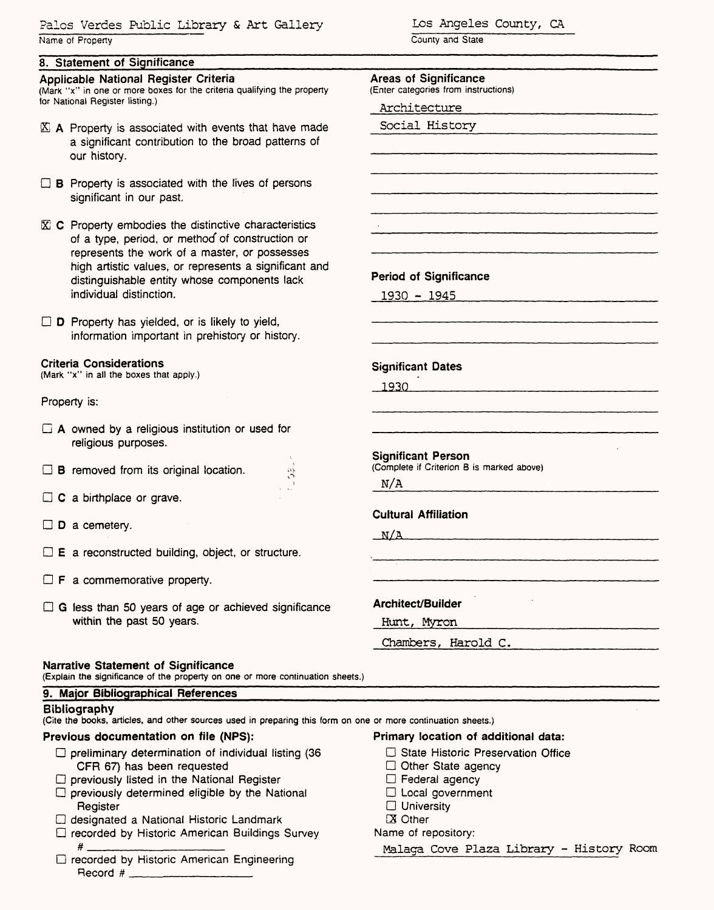Palos Verdes Public Library & Art Gallery Name of Properly

### **8. Statement of Significance**

#### **Applicable National Register Criteria**

(Mark "x" in one or more boxes for the criteria qualifying the property for National Register listing.)

- $\mathbb{X}$  A Property is associated with events that have made a significant contribution to the broad patterns of our history.
- $\Box$  B Property is associated with the lives of persons significant in our past.
- $\mathbb{\overline{X}}$  C Property embodies the distinctive characteristics of a type, period, or method" of construction or represents the work of a master, or possesses high artistic values, or represents a significant and distinguishable entity whose components lack individual distinction.

 $\Box$  D Property has yielded, or is likely to yield, information important in prehistory or history.

#### **Criteria Considerations**

(Mark "x" in all the boxes that apply.)

Property is:

- $\Box$  A owned by a religious institution or used for religious purposes.
- $\Box$  **B** removed from its original location.
- $\Box$  C a birthplace or grave.
- $\square$  **D** a cemetery.
- $\Box$  **E** a reconstructed building, object, or structure.
- $\Box$  **F** a commemorative property.
- $\Box$  G less than 50 years of age or achieved significance within the past 50 years.

#### **Narrative Statement of Significance**

(Explain the significance of the property on one or more continuation sheets.)

### **9. Major Bibliographical References**

#### **Bibliography**

(Cite the books, articles, and other sources used in preparing this form on one or more continuation sheets.)

### **Previous documentation on file (NFS):**

- $\Box$  preliminary determination of individual listing (36 CFR 67) has been requested
- $\Box$  previously listed in the National Register
- $\square$  previously determined eligible by the National Register
- D designated a National Historic Landmark
- D recorded by Historic American Buildings Survey  $#$
- D recorded by Historic American Engineering Record # \_\_\_\_\_\_\_\_\_\_\_\_\_

Los Angeles County, CA

County and State

### **Areas of Significance**

(Enter categories from instructions)

Architecture

Social History

**Period of Significance**

1930 - 1945

**Significant Dates**

1930\_\_\_\_\_\_

**Significant Person** (Complete if Criterion B is marked above)

N/A

**Cultural Affiliation**

 $N/A$ 

**Architect/Builder**

| Hunt. | Myron |  |
|-------|-------|--|
|       |       |  |

Chambers, Harold C.

**Primary location of additional data:**

- D State Historic Preservation Office
- Other State agency
- $\Box$  Federal agency
- $\Box$  Local government
- □ University
- **X** Other

### Name of repository:

Malaga Cove Plaza Library - History Room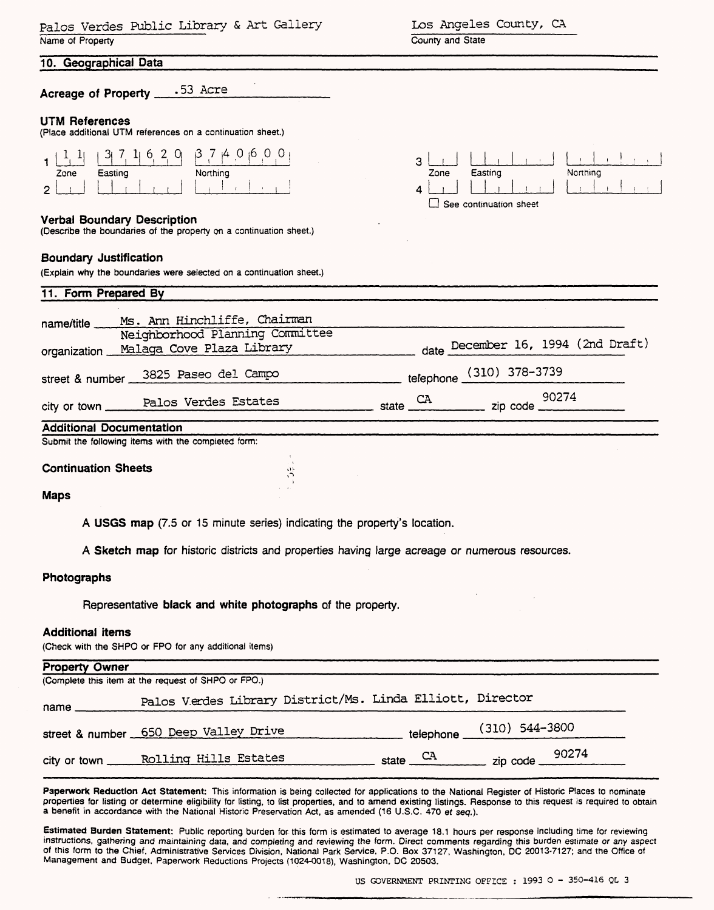| Palos Verdes Public Library & Art Gallery<br>Name of Property                                                                                   | Los Angeles County, CA<br>County and State                                                                                                                                                                 |
|-------------------------------------------------------------------------------------------------------------------------------------------------|------------------------------------------------------------------------------------------------------------------------------------------------------------------------------------------------------------|
| 10. Geographical Data                                                                                                                           |                                                                                                                                                                                                            |
| Acreage of Property .53 Acre                                                                                                                    |                                                                                                                                                                                                            |
| <b>UTM References</b><br>(Place additional UTM references on a continuation sheet.)                                                             |                                                                                                                                                                                                            |
| $3$   7, 1  6, 2, 0  $3$ 7   4 0   0 $\cdot$ 0   0  <br>Easting<br>Zone<br>Northing<br>2.                                                       | 3<br>Northing<br>Easting<br>Zone<br>$\Box$ See continuation sheet                                                                                                                                          |
| <b>Verbal Boundary Description</b><br>(Describe the boundaries of the property on a continuation sheet.)                                        |                                                                                                                                                                                                            |
| <b>Boundary Justification</b><br>(Explain why the boundaries were selected on a continuation sheet.)                                            |                                                                                                                                                                                                            |
| 11. Form Prepared By                                                                                                                            |                                                                                                                                                                                                            |
| Ms. Ann Hinchliffe, Chairman<br>name/title<br>Neighborhood Planning Committee<br>organization Malaga Cove Plaza Library                         | date December 16, 1994 (2nd Draft)                                                                                                                                                                         |
| street & number 3825 Paseo del Campo                                                                                                            | telephone (310) 378-3739                                                                                                                                                                                   |
|                                                                                                                                                 | 90274                                                                                                                                                                                                      |
| Palos Verdes Estates<br>city or town _                                                                                                          | $\begin{array}{c}\n\begin{array}{c}\n\text{State} \\ \hline\n\end{array} \\ \end{array}$ state $\begin{array}{c}\n\text{CA} \\ \hline\n\end{array}$ zip code $\begin{array}{c}\n\text{90274}\n\end{array}$ |
| <b>Additional Documentation</b><br>Submit the following items with the completed form:                                                          |                                                                                                                                                                                                            |
|                                                                                                                                                 |                                                                                                                                                                                                            |
| <b>Continuation Sheets</b>                                                                                                                      |                                                                                                                                                                                                            |
| <b>Maps</b>                                                                                                                                     |                                                                                                                                                                                                            |
| A USGS map (7.5 or 15 minute series) indicating the property's location.                                                                        |                                                                                                                                                                                                            |
| A Sketch map for historic districts and properties having large acreage or numerous resources.                                                  |                                                                                                                                                                                                            |
| Photographs                                                                                                                                     |                                                                                                                                                                                                            |
| Representative black and white photographs of the property.                                                                                     |                                                                                                                                                                                                            |
| <b>Additional items</b><br>(Check with the SHPO or FPO for any additional items)                                                                |                                                                                                                                                                                                            |
| <b>Property Owner</b><br>(Complete this item at the request of SHPO or FPO.)                                                                    |                                                                                                                                                                                                            |
| Palos Verdes Library District/Ms. Linda Elliott, Director<br>name ___                                                                           |                                                                                                                                                                                                            |
| street & number 650 Deep Valley Drive (310) 544-3800                                                                                            |                                                                                                                                                                                                            |
| city or town Rolling Hills Estates state CA and zip code                                                                                        | 90274                                                                                                                                                                                                      |
| Paperwork Reduction Act Statement: This information is being collected for applications to the National Register of Historic Places to nominate | properties for listing or determine eligibility for listing, to list properties, and to amend existing listings. Response to this request is required to obtain                                            |

properties for listing or determine eligibility for listing, to list properties, and to amend existing listings. Response to this request is required to obtain a benefit in accordance with the National Historic Preservation Act, as amended (16 U.S.C. 470 et seq.).

**Estimated Burden Statement:** Public reporting burden for this form is estimated to average 18.1 hours per response including time for reviewing instructions, gathering and maintaining data, and completing and reviewing the form. Direct comments regarding this burden estimate or any aspect of this form to the Chief, Administrative Services Division, National Park Service, P.O. Box 37127, Washington, DC 20013-7127; and the Office of Management and Budget, Paperwork Reductions Projects (1024-0018), Washington, DC 20503.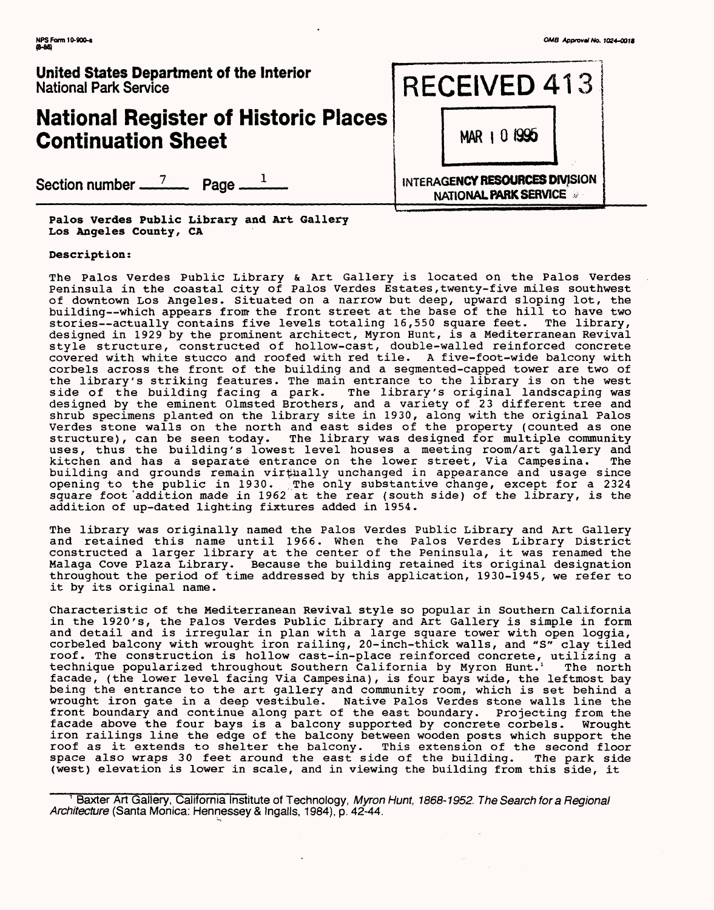# **National Register of Historic Places Continuation Sheet**

Section number <u>7</u> Page <u>1</u>

**Palos Verdes Public Library and Art Gallery Los Angeles County, CA**

#### **Description:**

The Palos Verdes Public Library & Art Gallery is located on the Palos Verdes Peninsula in the coastal city of Palos Verdes Estates,twenty-five miles southwest of downtown Los Angeles. Situated on a narrow but deep, upward sloping lot, the building--which appears from the front street at the base of the hill to have two stories—actually contains five levels totaling 16,550 square feet. The library, designed in 1929 by the prominent architect, Myron Hunt, is a Mediterranean Revival style structure, constructed of hollow-cast, double-walled reinforced concrete covered with white stucco and roofed with red tile. A five-foot-wide balcony with corbels across the front of the building and a segmented-capped tower are two of the library's striking features. The main entrance to the library is on the west side of the building facing a park. The library's original landscaping was designed by the eminent Olmsted Brothers, and a variety of 23 different tree and shrub specimens planted on the library site in 1930, along with the original Palos Verdes stone walls on the north and east sides of the property (counted as one structure), can be seen today. The library was designed for multiple community uses, thus the building's lowest level houses a meeting room/art gallery and kitchen and has a separate entrance on the lower street, Via Campesina. The building and grounds remain virtually unchanged in appearance and usage since opening to the public in 1930. ,The only substantive change, except for a 2324 square foot 'addition made in 1962 at the rear (south side) of the library, is the addition of up-dated lighting fixtures added in 1954.

The library was originally named the Palos Verdes Public Library and Art Gallery and retained this name until 1966. When the Palos Verdes Library District constructed a larger library at the center of the Peninsula, it was renamed the Malaga Cove Plaza Library. Because the building retained its original designation throughout the period of time addressed by this application, 1930-1945, we refer to it by its original name.

Characteristic of the Mediterranean Revival style so popular in Southern California in the 1920's, the Palos Verdes Public Library and Art Gallery is simple in form and detail and is irregular in plan with a large square tower with open loggia, corbeled balcony with wrought iron railing, 20-inch-thick walls, and "S" clay tiled roof. The construction is hollow cast-in-place reinforced concrete, utilizing a technique popularized throughout Southern California by Myron Hunt.' The north facade, (the lower level facing Via Campesina), is four bays wide, the leftmost bay being the entrance to the art gallery and community room, which is set behind a wrought iron gate in a deep vestibule. Native Palos Verdes stone walls line the<br>front boundary and continue along part of the east boundary. Projecting from the front boundary and continue along part of the east boundary. facade above the four bays is a balcony supported by concrete corbels. Wrought iron railings line the edge of the balcony between wooden posts which support the roof as it extends to shelter the balcony. This extension of the second floor space also wraps 30 feet around the east side of the building. The park side (west) elevation is lower in scale, and in viewing the building from this side, it



Baxter Art Gallery, California Institute of Technology, Myron Hunt, 1868-1952. The Search for a Regional Architecture (Santa Monica: Hennessey & Ingalls, 1984), p. 42-44.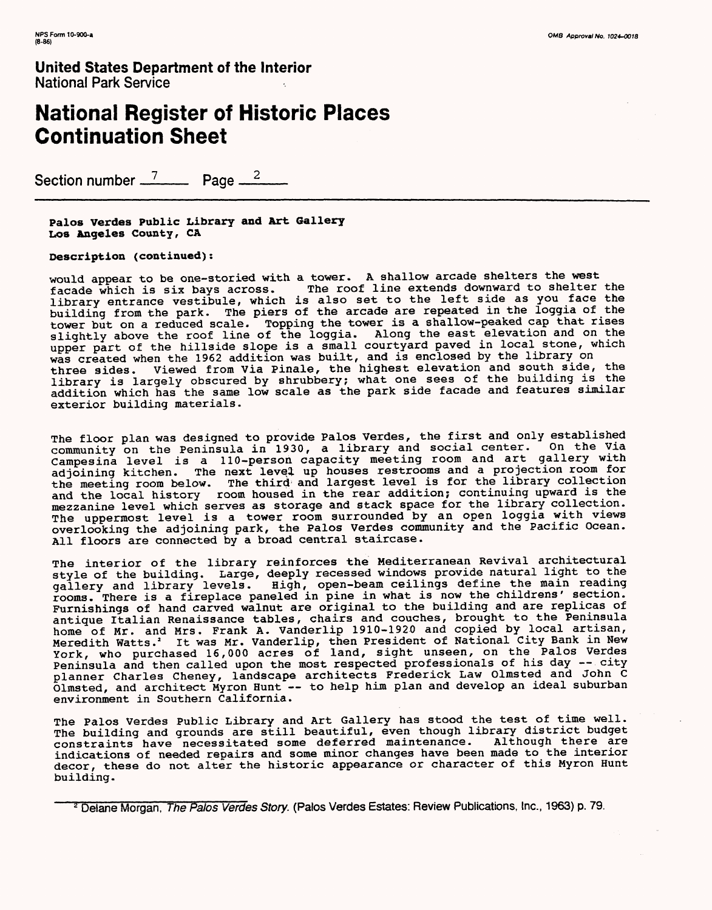# **National Register of Historic Places Continuation Sheet**

Section number <sup>7</sup><sub>2</sub> Page <sup>2</sup><sub>2</sub>

**Palos Verdes Public Library and Art Gallery Los Angeles County, CA**

**Description (continued):**

would appear to be one-storied with a tower. A shallow arcade shelters the west<br>facade which is six bays across. The roof line extends downward to shelter The roof line extends downward to shelter the library entrance vestibule, which is also set to the left side as you face the building from the park. The piers of the arcade are repeated in the loggia of the tower but on a reduced scale. Topping the tower is a shallow-peaked cap that rises slightly above the roof line of the loggia. Along the east elevation and on the upper part of the hillside slope is a small courtyard paved in local stone, which was created when the 1962 addition was built, and is enclosed by the library on three sides. Viewed from Via Finale, the highest elevation and south side, the library is largely obscured by shrubbery; what one sees of the building is the addition which has the same low scale as the park side facade and features similar exterior building materials.

The floor plan was designed to provide Palos Verdes, the first and only established community on the Peninsula in 1930, a library and social center. On the Via Campesina level is a 110-person capacity meeting room and art gallery with adjoining kitchen. The next level up houses restrooms and a projection room for the meeting room below. The third and largest level is for the library collection and the local history room housed in the rear addition; continuing upward is the mezzanine level which serves as storage and stack space for the library collection. The uppermost level is a tower room surrounded by an open loggia with views overlooking the adjoining park, the Palos Verdes community and the Pacific Ocean. All floors are connected by a broad central staircase.

The interior of the library reinforces the Mediterranean Revival architectural style of the building. Large, deeply recessed windows provide natural light to the gallery and library levels. High, open-beam ceilings define the main reading rooms. There is a fireplace paneled in pine in what is now the childrens' section. Furnishings of hand carved walnut are original to the building and are replicas of antique Italian Renaissance tables, chairs and couches, brought to the Peninsula home of Mr. and Mrs. Frank A. Vanderlip 1910-1920 and copied by local artisan, Meredith Watts. 4 It was Mr. Vanderlip, then President of National City Bank in New York, who purchased 16,000 acres of land, sight unseen, on the Palos Verdes Peninsula and then called upon the most respected professionals of his day —city planner Charles Cheney, landscape architects Frederick Law olmsted and John C Olmsted, and architect Myron Hunt -- to help him plan and develop an ideal suburban environment in Southern California.

The Palos Verdes Public Library and Art Gallery has stood the test of time well. The building and grounds are still beautiful, even though library district budget constraints have necessitated some deferred maintenance. Although there are indications of needed repairs and some minor changes have been made to the interior decor, these do not alter the historic appearance or character of this Myron Hunt building.

2 Delane Morgan, *The Palos Verdes Story.* (Palos Verdes Estates: Review Publications, Inc., 1963) p. 79.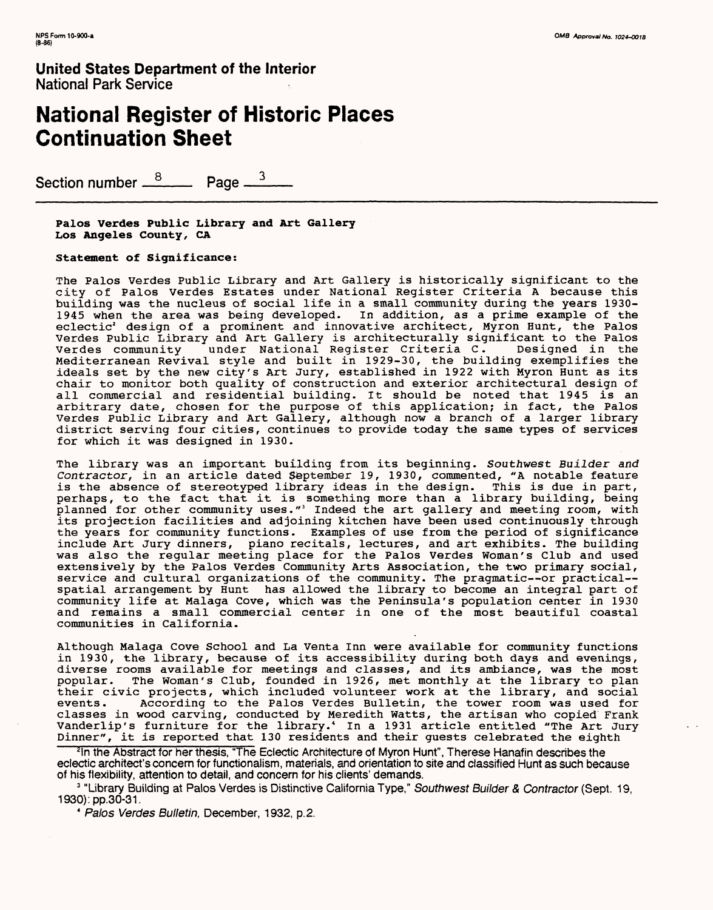## **National Register of Historic Places Continuation Sheet**

Section number <u><sup>8</sup></u> Page <sup>3</sup>

**Palos Verdes Public Library and Art Gallery**  Los Angeles County, CA

**Statement of Significance:**

The Palos Verdes Public Library and Art Gallery is historically significant to the city of Palos Verdes Estates under National Register Criteria A because this building was the nucleus of social life in a small community during the years 1930- 1945 when the area was being developed. In addition, as a prime example of the eclectic2 design of a prominent and innovative architect, Myron Hunt, the Palos Verdes Public Library and Art Gallery is architecturally significant to the Palos Verdes community under National Register Criteria C. Designed in the Verdes community under National Register Criteria C. Designed in the<br>Mediterranean Revival style and built in 1929-30, the building exemplifies the ideals set by the new city's Art Jury, established in 1922 with Myron Hunt as its chair to monitor both quality of construction and exterior architectural design of all commercial and residential building. It should be noted that 1945 is an arbitrary date, chosen for the purpose of this application; in fact, the Palos Verdes Public Library and Art Gallery, although now a branch of a larger library district serving four cities, continues to provide today the same types of services for which it was designed in 1930.

The library was an important building from its beginning. Southwest Builder and Contractor, in an article dated \$eptember 19, 1930, commented, "A notable feature is the absence of stereotyped library ideas in the design. This is due in part, perhaps, to the fact that it is something more than a library building, being planned for other community uses." 3 Indeed the art gallery and meeting room, with its projection facilities and adjoining kitchen have been used continuously through the years for community functions. Examples of use from the period of significance include Art Jury dinners, piano recitals, lectures, and art exhibits. The building was also the regular meeting place for the Palos Verdes Woman's Club and used extensively by the Palos Verdes Community Arts Association, the two primary social, service and cultural organizations of the community. The pragmatic--or practical-spatial arrangement by Hunt has allowed the library to become an integral part of community life at Malaga Cove, which was the Peninsula's population center in 1930 and remains a small commercial center in one of the most beautiful coastal communities in California.

Although Malaga Cove School and La Venta Inn were available for community functions in 1930, the library, because of its accessibility during both days and evenings, diverse rooms available for meetings and classes, and its ambiance, was the most popular. The Woman's Club, founded in 1926, met monthly at the library to plan their civic projects, which included volunteer work at the library, and social events. According to the Palos Verdes Bulletin, the tower room was used for classes in wood carving, conducted by Meredith Watts, the artisan who copied Frank Vanderlip's furniture for the library.' In a 1931 article entitled "The Art Jury Dinner", it is reported that 130 residents and their guests celebrated the eighth

<sup>2</sup>In the Abstract for her thesis, "The Eclectic Architecture of Myron Hunt", Therese Hanafin describes the eclectic architect's concern for functionalism, materials, and orientation to site and classified Hunt as such because of his flexibility, attention to detail, and concern for his clients' demands.

3 "Library Building at Palos Verdes is Distinctive California Type," *Southwest Builder & Contractor* (Sept. 19, 1930):pp.30-31.

*4 Palos Verdes Bulletin,* December, 1932, p. 2.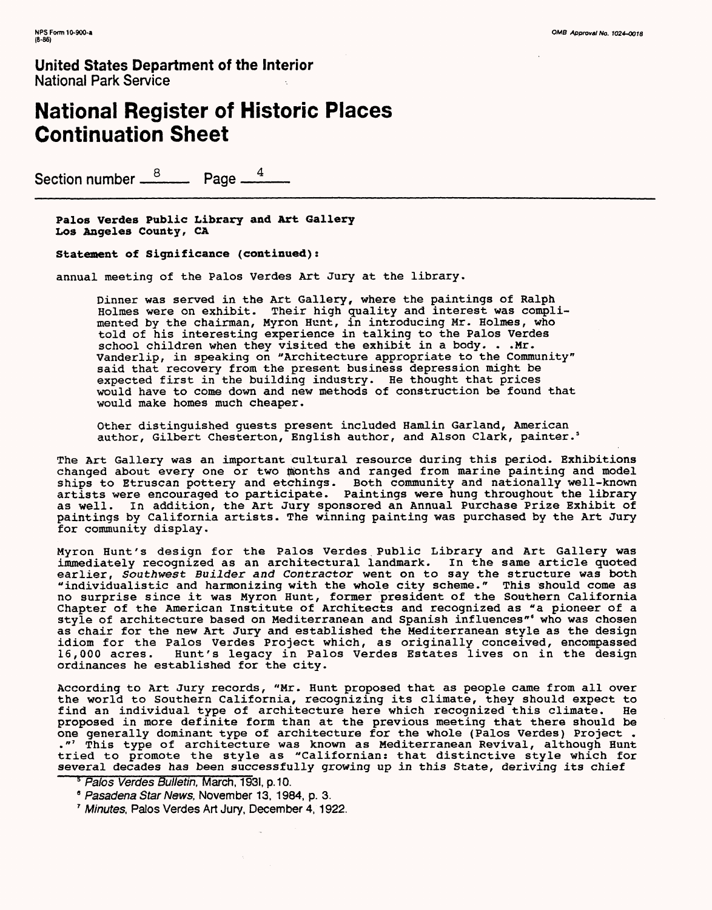# **National Register of Historic Places Continuation Sheet**

Section number <u><sup>8</sup></u> Page <sup>4</sup>

**Palos Verdes Public Library and Art Gallery Los Angeles County, CA**

**Statement of Significance (continued):**

annual meeting of the Palos Verdes Art Jury at the library.

Dinner was served in the Art Gallery, where the paintings of Ralph Holmes were on exhibit. Their high quality and interest was complimented by the chairman, Myron Hunt, in introducing Mr. Holmes, who told of his interesting experience in talking to the Palos Verdes school children when they visited the exhibit in a body. . .Mr. Vanderlip, in speaking on "Architecture appropriate to the Community" said that recovery from the present business depression might be expected first in the building industry. He thought that prices would have to come down and new methods of construction be found that would make homes much cheaper.

Other distinguished guests present included Hamlin Garland, American author, Gilbert Chesterton, English author, and Alson Clark, painter.'

The Art Gallery was an important cultural resource during this period. Exhibitions changed about every one or two months and ranged from marine painting and model ships to Etruscan pottery and etchings. Both community and nationally well-known artists were encouraged to participate. Paintings were hung throughout the library as well. In addition, the Art Jury sponsored an Annual Purchase Prize Exhibit of paintings by California artists. The winning painting was purchased by the Art Jury for community display.

Myron Hunt's design for the Palos Verdes Public Library and Art Gallery was immediately recognized as an architectural landmark. In the same article quoted earlier, Southwest Builder and Contractor went on to say the structure was both "individualistic and harmonizing with the whole city scheme." This should come as no surprise since it was Myron Hunt, former president of the Southern California Chapter of the American Institute of Architects and recognized as "a pioneer of a style of architecture based on Mediterranean and Spanish influences"' who was chosen as chair for the new Art Jury and established the Mediterranean style as the design idiom for the Palos Verdes Project which, as originally conceived, encompassed 16,000 acres. Hunt's legacy in Palos Verdes Estates lives on in the design ordinances he established for the city.

According to Art Jury records, "Mr. Hunt proposed that as people came from all over the world to Southern California, recognizing its climate, they should expect to find an individual type of architecture here which recognized this climate. He proposed in more definite form than at the previous meeting that there should be one generally dominant type of architecture for the whole (Palos Verdes) Project . ."' This type of architecture was known as Mediterranean Revival, although Hunt tried to promote the style as "Californian: that distinctive style which for several decades has been successfully growing up in this State, deriving its chief

*5 Palos Verdes Bulletin,* March, 1931, p. 10.

<sup>8</sup>*Pasadena Star News,* November 13, 1984, p. 3.

7 *Minutes,* Palos Verdes Art Jury, December 4, 1922.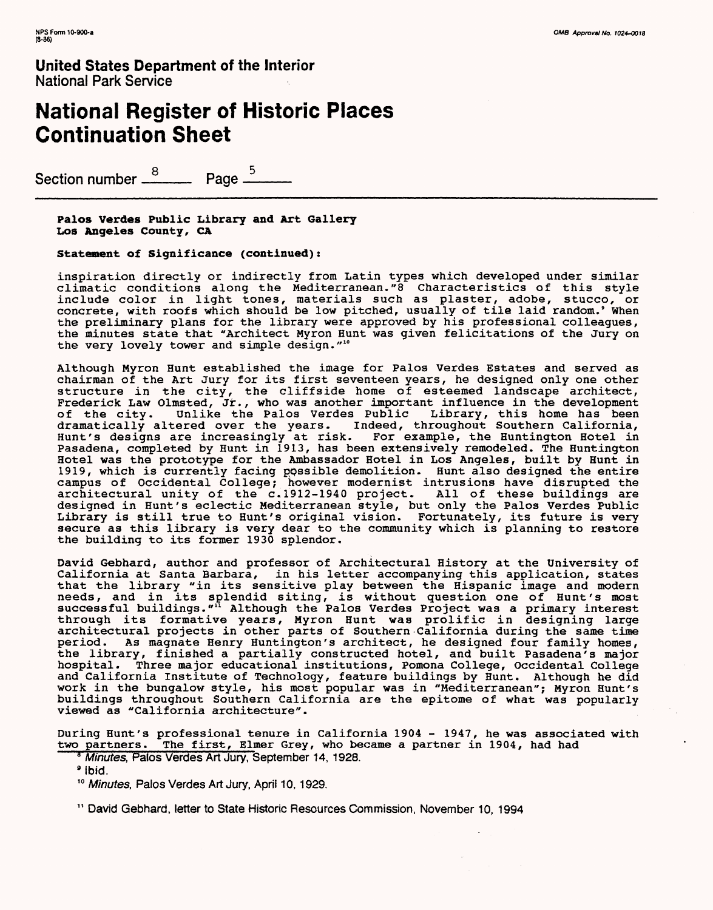# **National Register of Historic Places Continuation Sheet**

Section number  $\stackrel{8}{\rule{10pt}{0.5pt}}$  Page  $\stackrel{5}{\rule{10pt}{0.5pt}}$ 

**Palos Verdes Public Library and Art Gallery Los Angeles County, CA**

**Statement of Significance (continued):**

inspiration directly or indirectly from Latin types which developed under similar climatic conditions along the Mediterranean."8 Characteristics of this style include color in light tones, materials such as plaster, adobe, stucco, or concrete, with roofs which should be low pitched, usually of tile laid random.' When the preliminary plans for the library were approved by his professional colleagues, the minutes state that "Architect Myron Hunt was given felicitations of the Jury on the very lovely tower and simple design."<sup>10</sup>

Although Myron Hunt established the image for Palos Verdes Estates and served as chairman of the Art Jury for its first seventeen years, he designed only one other structure in the city, the cliffside home of esteemed landscape architect, Frederick Law Olmsted, Jr., who was another important influence in the development of the city. Unlike the Palos Verdes Public Library, this home has been dramatically altered over the years. Indeed, throughout Southern California, Hunt's designs are increasingly at risk. For example, the Huntington Hotel in Pasadena, completed by Hunt in 1913, has been extensively remodeled. The Huntington Hotel was the prototype for the Ambassador Hotel in Los Angeles, built by Hunt in 1919, which is currently facing ppssible demolition. Hunt also designed the entire campus of Occidental College; however modernist intrusions have disrupted the architectural unity of the c.1912-1940 project. All of these buildings are designed in Hunt's eclectic Mediterranean style, but only the Palos Verdes Public Library is still true to Hunt's original vision. Fortunately, its future is very secure as this library is very dear to the community which is planning to restore the building to its former 1930 splendor.

David Gebhard, author and professor of Architectural History at the University of California at Santa Barbara, in his letter accompanying this application, states that the library "in its sensitive play between the Hispanic image and modern needs, and in its splendid siting, is without question one of Hunt's most successful buildings."<sup>11</sup> Although the Palos Verdes Project was a primary interest through its formative years, Myron Hunt was prolific in designing large architectural projects in other parts of Southern California during the same time period. As magnate Henry Huntington's architect, he designed four family homes, the library, finished a partially constructed hotel, and built Pasadena's major hospital. Three major educational institutions, Pomona College, Occidental College and California Institute of Technology, feature buildings by Hunt. Although he did work in the bungalow style, his most popular was in "Mediterranean"; Myron Hunt's buildings throughout Southern California are the epitome of what was popularly viewed as "California architecture".

During Hunt's professional tenure in California 1904 - 1947, he was associated with two partners. The first, Elmer Grey, who became a partner in 1904, had had

- <sup>8</sup> Minutes, Palos Verdes Art Jury, September 14, 1928.
- 9 Ibid.

<sup>10</sup>*Minutes,* Palos Verdes Art Jury, April 10,1929.

11 David Gebhard, letter to State Historic Resources Commission, November 10, 1994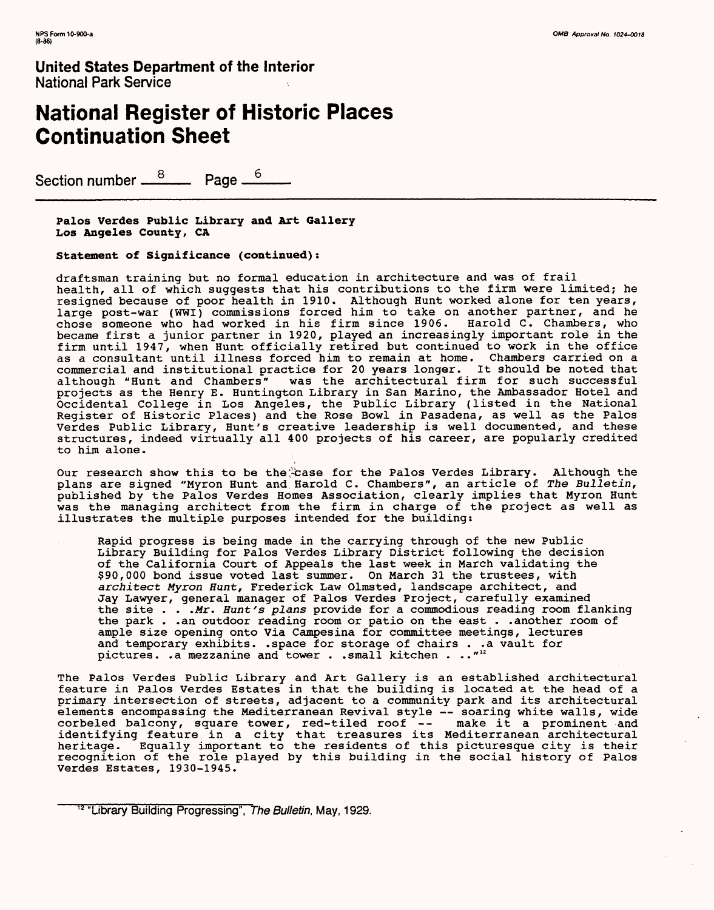# **National Register of Historic Places Continuation Sheet**

Section number <sup>8</sup> Page <sup>6</sup>

**Palos Verdes Public Library and Art Gallery Los Angeles County,** CA

**Statement of Significance (continued):**

draftsman training but no formal education in architecture and was of frail health, all of which suggests that his contributions to the firm were limited; he resigned because of poor health in 1910. Although Hunt worked alone for ten years, large post-war (WWI) commissions forced him to take on another partner, and he chose someone who had worked in his firm since 1906, Harold C. Chambers, who became first a junior partner in 1920, played an increasingly important role in the firm until 1947, when Hunt officially retired but continued to work in the office as a consultant until illness forced him to remain at home. Chambers carried on a commercial and institutional practice for 20 years longer. It should be noted that although "Hunt and Chambers" was the architectural firm for such successful projects as the Henry E. Huntington Library in San Marino, the Ambassador Hotel and Occidental College in Los Angeles, the Public Library (listed in the National Register of Historic Places) and the Rose Bowl in Pasadena, as well as the Palos Verdes Public Library, Hunt's creative leadership is well documented, and these structures, indeed virtually all 400 projects of his career, are popularly credited to him alone.

Our research show this to be the asse for the Palos Verdes Library. Although the plans are signed "Myron Hunt and Harold C. Chambers", an article of The Bulletin, published by the Palos Verdes Homes Association, clearly implies that Myron Hunt was the managing architect from the firm in charge of the project as well as illustrates the multiple purposes intended for the building:

Rapid progress is being made in the carrying through of the new Public Library Building for Palos Verdes Library District following the decision of the California Court of Appeals the last week in March validating the \$90,000 bond issue voted last summer. On March 31 the trustees, with architect Myron Hunt, Frederick Law Olmsted, landscape architect, and Jay Lawyer, general manager of Palos Verdes Project, carefully examined the site . . . Mr. Hunt's plans provide for a commodious reading room flanking the park . .an outdoor reading room or patio on the east . .another room of ample size opening onto Via Campesina for committee meetings, lectures and temporary exhibits, .space for storage of chairs . .a vault for pictures, .a mezzanine and tower . .small kitchen . ..""

The Palos Verdes Public Library and Art Gallery is an established architectural feature in Palos Verdes Estates in that the building is located at the head of a primary intersection of streets, adjacent to a community park and its architectural elements encompassing the Mediterranean Revival style — soaring white walls, wide corbeled balcony, square tower, red-tiled roof -- make it a prominent and identifying feature in a city that treasures its Mediterranean architectural heritage. Equally important to the residents of this picturesque city is their recognition of the role played by this building in the social history of Palos Verdes Estates, 1930-1945.

<sup>12 &</sup>quot;Library Building Progressing", *The Bulletin,* May, 1929.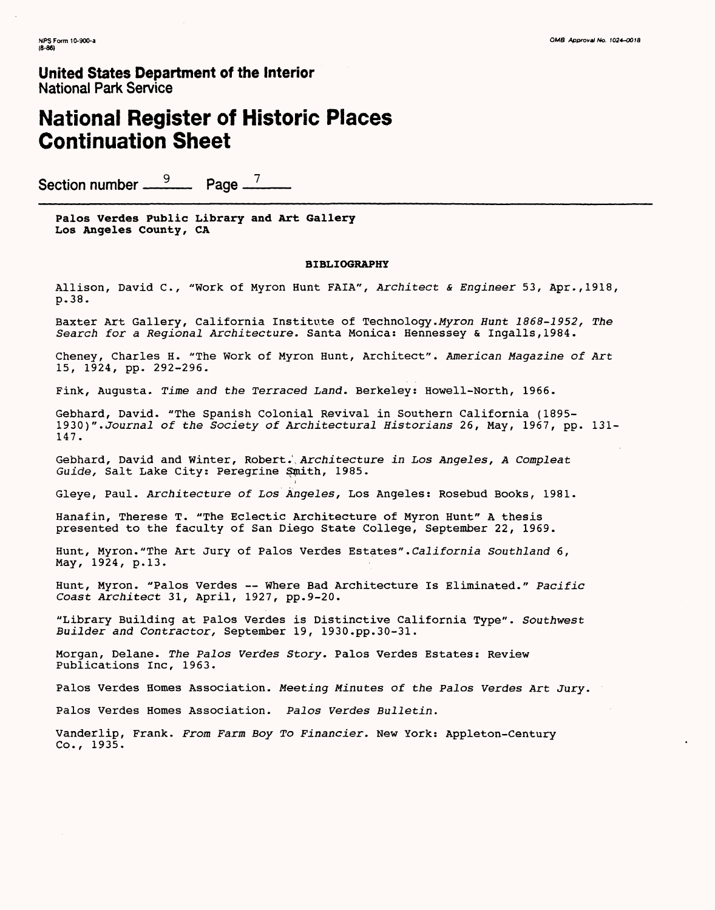### **National Register of Historic Places Continuation Sheet**

Section number <u><sup>9</sup></u> Page <sup>7</sup>

**Palos Verdes Public Library and Art Gallery Los Angeles County, CA**

#### **BIBLIOGRAPHY**

Allison, David C., "Work of Myron Hunt FAIA", Architect & Engineer 53, Apr.,1918, p.38.

Baxter Art Gallery, California Institute of Technology. Myron Hunt 1868-1952, The Search for a Regional Architecture. Santa Monica; Hennessey & Ingalls,1984.

Cheney, Charles H. "The Work of Myron Hunt, Architect". American Magazine of Art 15, 1924, pp. 292-296.

Fink, Augusta. Time and the Terraced Land. Berkeley: Howell-North, 1966.

Gebhard, David. "The Spanish Colonial Revival in Southern California (1895- 1930)". Journal of the Society of Architectural Historians 26, May, 1967, pp. 131- 147.

Gebhard, David and Winter, Robert., Architecture in Los Angeles, A Compleat Guide, Salt Lake City: Peregrine Smith, 1985.

Gleye, Paul. Architecture of Los Angeles, Los Angeles: Rosebud Books, 1981.

Hanafin, Therese T. "The Eclectic Architecture of Myron Hunt" A thesis presented to the faculty of San Diego State College, September 22, 1969.

Hunt, Myron."The Art Jury of Palos Verdes Estates".California Southland 6, May, 1924, p.13.

Hunt, Myron. "Palos Verdes — Where Bad Architecture Is Eliminated." Pacific Coast Architect 31, April, 1927, pp.9-20.

"Library Building at Palos Verdes is Distinctive California Type". Southwest Builder and Contractor, September 19, 1930.pp.30-31.

Morgan, Delane. The Palos Verdes Story. Palos Verdes Estates: Review Publications Inc, 1963.

Palos Verdes Homes Association. Meeting Minutes of the Palos Verdes Art Jury.

Palos Verdes Homes Association. Palos Verdes Bulletin.

Vanderlip, Frank. From Farm Boy To Financier. New York: Appleton-Century Co., 1935.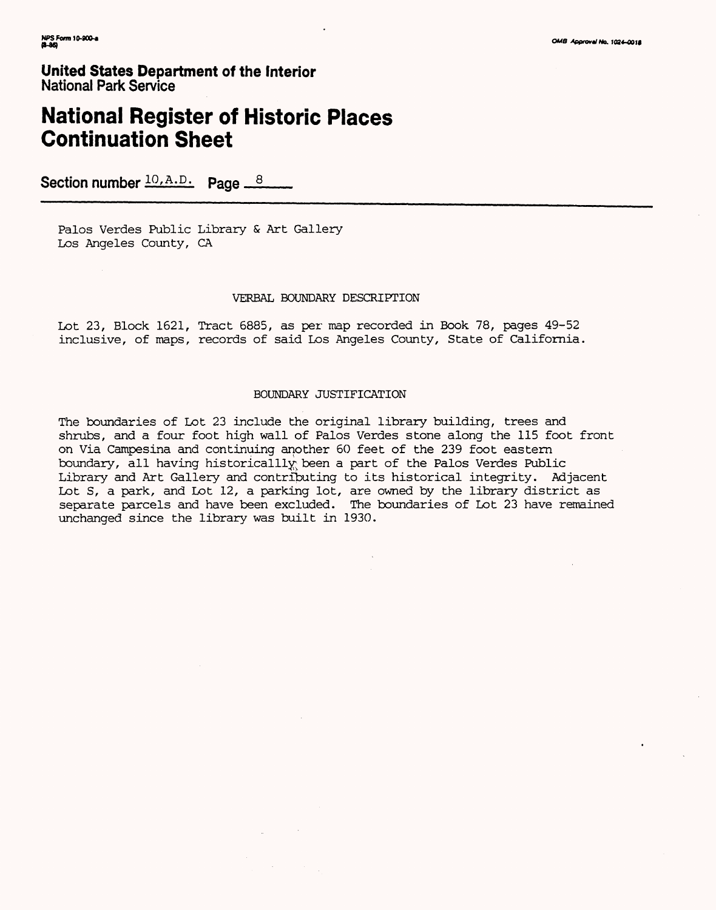# **National Register of Historic Places Continuation Sheet**

Section number  $10, A.D.$  Page  $8$ 

Palos Verdes Public Library & Art Gallery Los Angeles County, CA

#### VERBAL BOUNDARY DESCRIPTION

Lot 23, Block 1621, Tract 6885, as per map recorded in Book 78, pages 49-52 inclusive, of maps, records of said Los Angeles County, State of California.

#### BOUNDARY JUSTIFICATION

The boundaries of Lot 23 include the original library building, trees and shrubs, and a four foot high wall of Palos Verdes stone along the 115 foot front on Via Campesina and continuing another 60 feet of the 239 foot eastern boundary, all having historicalllv: been a part of the Palos Verdes Public Library and Art Gallery and contributing to its historical integrity. Adjacent Lot S, a park, and Lot 12, a parking lot, are owned by the library district as separate parcels and have been excluded. The boundaries of Lot 23 have remained unchanged since the library was built in 1930.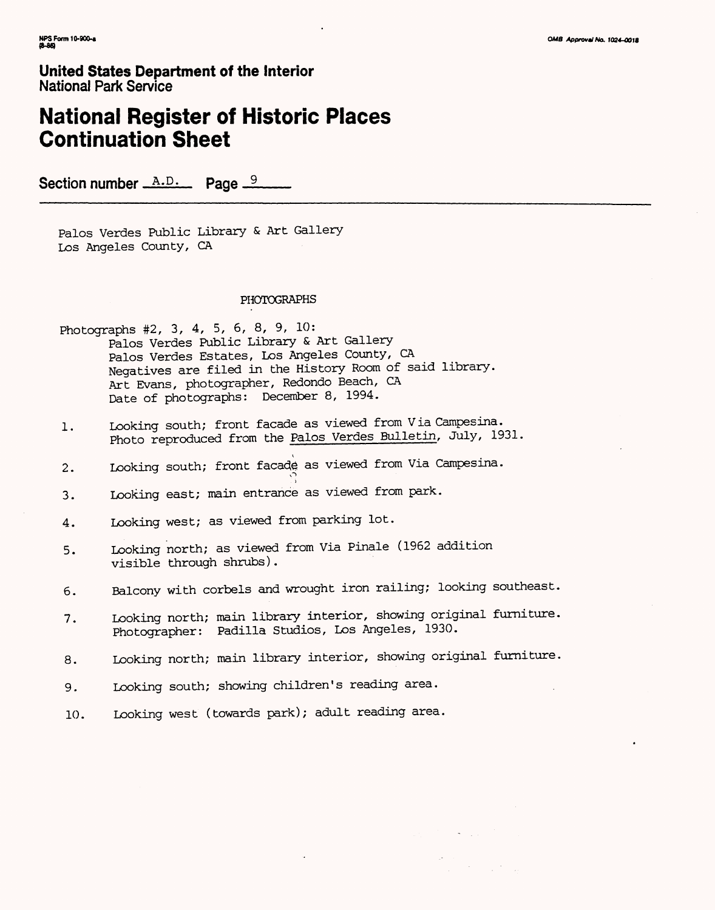## **National Register of Historic Places Continuation Sheet**

Section number  $A.D.$  Page  $\frac{9}{2}$ 

Palos Verdes Public Library & Art Gallery Los Angeles County, CA

### PHOTOGRAPHS

Photographs #2, 3, 4, 5, 6, 8, 9, 10: Palos Verdes Public Library & Art Gallery Palos Verdes Estates, Los Angeles County, CA Negatives are filed in the History Room of said library. Art Evans, photographer, Redondo Beach, CA Date of photographs: December 8, 1994.

1. Looking south; front facade as viewed from Via Campesina. Photo reproduced from the Palos Verdes Bulletin, July, 1931.

j

- 2. Looking south; front facade as viewed from Via Campesina.
- 3. Looking east; main entrance as viewed from park.
- 4. Looking west; as viewed from parking lot.
- 5. Looking north; as viewed from Via Pinale (1962 addition visible through shrubs).
- 6. Balcony with corbels and wrought iron railing; looking southeast.
- 7. Looking north; main library interior, showing original furniture. Photographer: Padilla Studios, Los Angeles, 1930.
- 8. Looking north; main library interior, showing original furniture.
- 9. Looking south; showing children's reading area.
- 10. Looking west (towards park); adult reading area.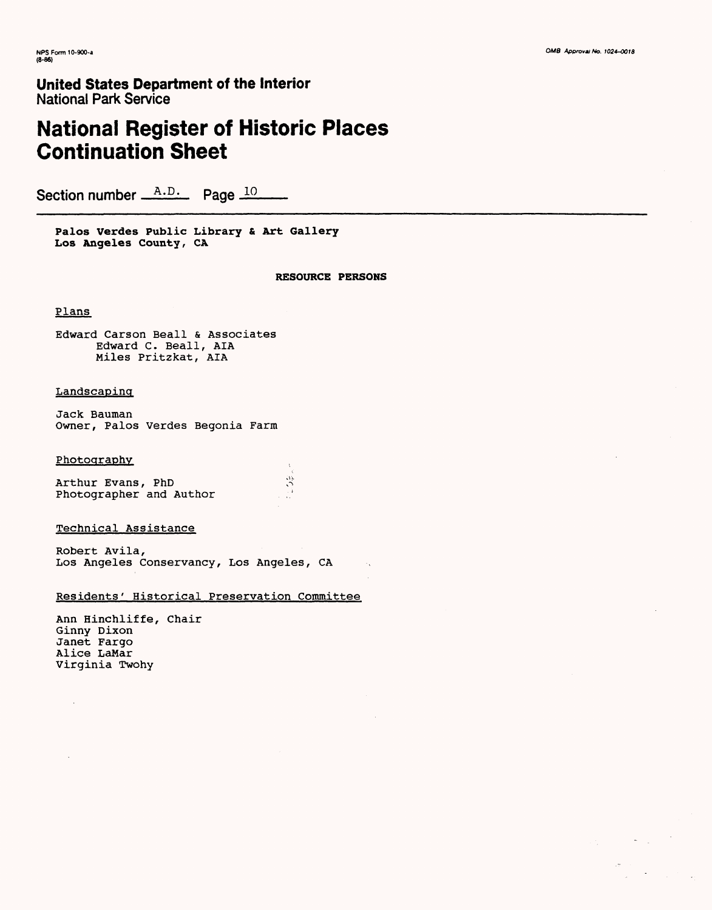# **National Register of Historic Places Continuation Sheet**

Section number  $A.D.$  Page 10

**Palos Verdes Public Library & Art Gallery**  Los Angeles County, CA

**RESOURCE PERSONS**

#### Plans

Edward Carson Beall & Associates Edward C. Beall, AIA Miles Pritzkat, AIA

#### Landscaping

Jack Bauman Owner, Palos Verdes Begonia Farm

#### Photography

| Arthur Evans, PhD       |  |  | AV. |  |
|-------------------------|--|--|-----|--|
| Photographer and Author |  |  |     |  |

#### Technical Assistance

Robert Avila, Los Angeles Conservancy, Los Angeles, CA

#### Residents' Historical Preservation Committee

Ann Hinchliffe, Chair Ginny Dixon Janet Fargo Alice LaMar Virginia Twohy